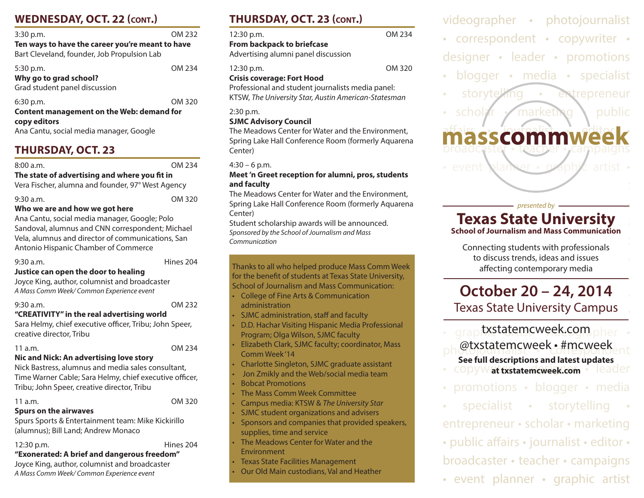# **WEDNESDAY, OCT. 22 (cont.)**

| $3:30$ p.m.                                                                                     | OM 232 |  |
|-------------------------------------------------------------------------------------------------|--------|--|
| Ten ways to have the career you're meant to have<br>Bart Cleveland, founder, Job Propulsion Lab |        |  |
| $5:30$ p.m.<br>Why go to grad school?<br>Grad student panel discussion                          | OM 234 |  |
| $6:30$ p.m.<br>Content management on the Web: demand for                                        | OM 320 |  |

**copy editors** Ana Cantu, social media manager, Google

# **THURSDAY, OCT. 23**

8:00 a.m. OM 234

**The state of advertising and where you fit in** Vera Fischer, alumna and founder, 97° West Agency

| $9:30$ a.m. | OM 320 |
|-------------|--------|
|             |        |

#### **Who we are and how we got here**

Ana Cantu, social media manager, Google; Polo Sandoval, alumnus and CNN correspondent; Michael Vela, alumnus and director of communications, San Antonio Hispanic Chamber of Commerce

| ₹⊍∶ | a.m |
|-----|-----|
|     |     |

Hines 204

#### **Justice can open the door to healing**

Joyce King, author, columnist and broadcaster *A Mass Comm Week/ Common Experience event*

9:30 a.m. OM 232

## **"CREATIVITY" in the real advertising world**

Sara Helmy, chief executive officer, Tribu; John Speer, creative director, Tribu

#### 11 a.m. OM 234

## **Nic and Nick: An advertising love story**

Nick Bastress, alumnus and media sales consultant, Time Warner Cable; Sara Helmy, chief executive officer, Tribu; John Speer, creative director, Tribu

#### 11 a.m. OM 320

## **Spurs on the airwaves**

Spurs Sports & Entertainment team: Mike Kickirillo (alumnus); Bill Land; Andrew Monaco

#### 12:30 p.m. Hines 204 **"Exonerated: A brief and dangerous freedom"**

Joyce King, author, columnist and broadcaster *A Mass Comm Week/ Common Experience event*

# **THURSDAY, OCT. 23 (cont.)**

| $12:30$ p.m.                        | OM 234 |
|-------------------------------------|--------|
| <b>From backpack to briefcase</b>   |        |
| Advertising alumni panel discussion |        |
| $12:30$ p.m.                        | OM 320 |
| <b>Crisis coverage: Fort Hood</b>   |        |

Professional and student journalists media panel: KTSW, *The University Star, Austin American-Statesman*

## 2:30 p.m.

#### **SJMC Advisory Council**

The Meadows Center for Water and the Environment, Spring Lake Hall Conference Room (formerly Aquarena Center)

### $4:30 - 6$  p.m.

#### **Meet 'n Greet reception for alumni, pros, students and faculty**

The Meadows Center for Water and the Environment, Spring Lake Hall Conference Room (formerly Aquarena Center)

Student scholarship awards will be announced. *Sponsored by the School of Journalism and Mass Communication*

Thanks to all who helped produce Mass Comm Week for the benefit of students at Texas State University, School of Journalism and Mass Communication:

- College of Fine Arts & Communication administration
- SJMC administration, staff and faculty
- D.D. Hachar Visiting Hispanic Media Professional Program; Olga Wilson, SJMC faculty
- Elizabeth Clark, SJMC faculty; coordinator, Mass Comm Week '14
- Charlotte Singleton, SJMC graduate assistant
- Jon Zmikly and the Web/social media team • Bobcat Promotions
- The Mass Comm Week Committee
- Campus media: KTSW & *The University Star*
- SJMC student organizations and advisers
- Sponsors and companies that provided speakers, supplies, time and service
- The Meadows Center for Water and the Environment
- Texas State Facilities Management
- Our Old Main custodians, Val and Heather

videographer • photojournalist • correspondent • copywriter • designer • leader • promotions • blogger • media • specialist • storytelling • entrepreneur  $schol$  *f* marketing **\** public

# asscommv broadcaster • teacher • campaigns • event planner •  $\alpha$ aph $\chi$  artist •

**• correspondent • compared by • contract • contract • contract • contract • contract • contract • contract • contract • contract • contract • contract • contract • contract • contract • contract • contract • contract •** 

videographer • photojournalist

# **Texas State University School of Journalism and Mass Communication**

 $\epsilon$  Connecting students with professionals to discuss trends, ideas and issues  $s_{\text{max}}$   $\frac{1}{2}$   $\frac{1}{2}$   $\frac{1}{2}$   $\frac{1}{2}$   $\frac{1}{2}$   $\frac{1}{2}$   $\frac{1}{2}$   $\frac{1}{2}$   $\frac{1}{2}$   $\frac{1}{2}$   $\frac{1}{2}$   $\frac{1}{2}$   $\frac{1}{2}$   $\frac{1}{2}$   $\frac{1}{2}$   $\frac{1}{2}$   $\frac{1}{2}$   $\frac{1}{2}$   $\frac{1}{2}$   $\frac{1}{2}$   $\frac{1}{2}$  affecting contemporary media

# **October 20 – 24, 2014** Texas State University Campus

- grap**txstatemcweek.com.**pher photojournalist • #mcweek **See full descriptions and latest updates**
- **copywat txstatemcweek.com leader**
- promotions blogger media
- specialist storytelling

entrepreneur • scholar • marketing

- public affairs journalist editor •
- broadcaster teacher campaigns
- event planner graphic artist